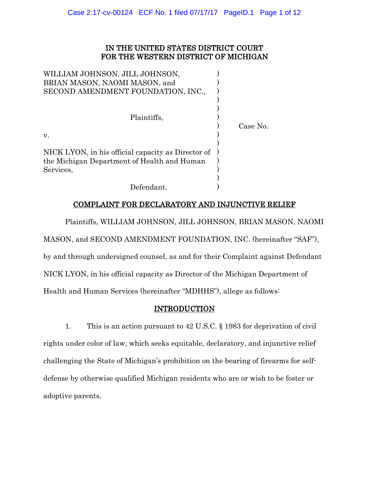# IN THE UNITED STATES DISTRICT COURT FOR THE WESTERN DISTRICT OF MICHIGAN

| WILLIAM JOHNSON, JILL JOHNSON,                     |          |
|----------------------------------------------------|----------|
| BRIAN MASON, NAOMI MASON, and                      |          |
| SECOND AMENDMENT FOUNDATION, INC.,                 |          |
|                                                    |          |
|                                                    |          |
| Plaintiffs.                                        |          |
|                                                    | Case No. |
| V.                                                 |          |
|                                                    |          |
| NICK LYON, in his official capacity as Director of |          |
| the Michigan Department of Health and Human        |          |
| Services,                                          |          |
|                                                    |          |
| Defendant.                                         |          |

# COMPLAINT FOR DECLARATORY AND INJUNCTIVE RELIEF

Plaintiffs, WILLIAM JOHNSON, JILL JOHNSON, BRIAN MASON, NAOMI MASON, and SECOND AMENDMENT FOUNDATION, INC. (hereinafter "SAF"), by and through undersigned counsel, as and for their Complaint against Defendant NICK LYON, in his official capacity as Director of the Michigan Department of Health and Human Services (hereinafter "MDHHS"), allege as follows:

# INTRODUCTION

1. This is an action pursuant to 42 U.S.C. § 1983 for deprivation of civil rights under color of law, which seeks equitable, declaratory, and injunctive relief challenging the State of Michigan's prohibition on the bearing of firearms for selfdefense by otherwise qualified Michigan residents who are or wish to be foster or adoptive parents.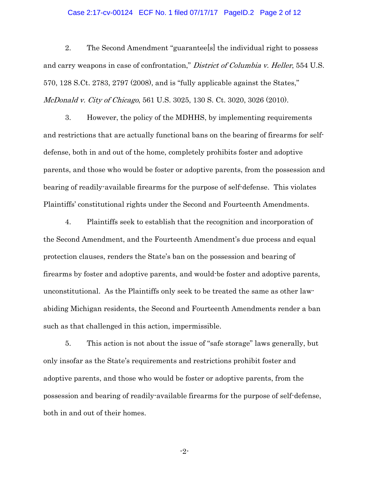## Case 2:17-cv-00124 ECF No. 1 filed 07/17/17 PageID.2 Page 2 of 12

2. The Second Amendment "guarantee[s] the individual right to possess and carry weapons in case of confrontation," District of Columbia v. Heller, 554 U.S. 570, 128 S.Ct. 2783, 2797 (2008), and is "fully applicable against the States," McDonald v. City of Chicago, 561 U.S. 3025, 130 S. Ct. 3020, 3026 (2010).

3. However, the policy of the MDHHS, by implementing requirements and restrictions that are actually functional bans on the bearing of firearms for selfdefense, both in and out of the home, completely prohibits foster and adoptive parents, and those who would be foster or adoptive parents, from the possession and bearing of readily-available firearms for the purpose of self-defense. This violates Plaintiffs' constitutional rights under the Second and Fourteenth Amendments.

4. Plaintiffs seek to establish that the recognition and incorporation of the Second Amendment, and the Fourteenth Amendment's due process and equal protection clauses, renders the State's ban on the possession and bearing of firearms by foster and adoptive parents, and would-be foster and adoptive parents, unconstitutional. As the Plaintiffs only seek to be treated the same as other lawabiding Michigan residents, the Second and Fourteenth Amendments render a ban such as that challenged in this action, impermissible.

5. This action is not about the issue of "safe storage" laws generally, but only insofar as the State's requirements and restrictions prohibit foster and adoptive parents, and those who would be foster or adoptive parents, from the possession and bearing of readily-available firearms for the purpose of self-defense, both in and out of their homes.

-2-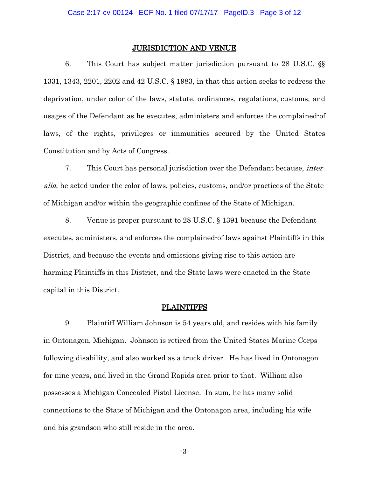#### JURISDICTION AND VENUE

6. This Court has subject matter jurisdiction pursuant to 28 U.S.C. §§ 1331, 1343, 2201, 2202 and 42 U.S.C. § 1983, in that this action seeks to redress the deprivation, under color of the laws, statute, ordinances, regulations, customs, and usages of the Defendant as he executes, administers and enforces the complained-of laws, of the rights, privileges or immunities secured by the United States Constitution and by Acts of Congress.

7. This Court has personal jurisdiction over the Defendant because, inter alia, he acted under the color of laws, policies, customs, and/or practices of the State of Michigan and/or within the geographic confines of the State of Michigan.

8. Venue is proper pursuant to 28 U.S.C. § 1391 because the Defendant executes, administers, and enforces the complained-of laws against Plaintiffs in this District, and because the events and omissions giving rise to this action are harming Plaintiffs in this District, and the State laws were enacted in the State capital in this District.

### **PLAINTIFFS**

9. Plaintiff William Johnson is 54 years old, and resides with his family in Ontonagon, Michigan. Johnson is retired from the United States Marine Corps following disability, and also worked as a truck driver. He has lived in Ontonagon for nine years, and lived in the Grand Rapids area prior to that. William also possesses a Michigan Concealed Pistol License. In sum, he has many solid connections to the State of Michigan and the Ontonagon area, including his wife and his grandson who still reside in the area.

-3-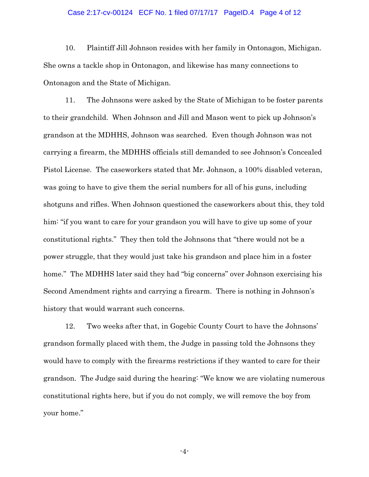## Case 2:17-cv-00124 ECF No. 1 filed 07/17/17 PageID.4 Page 4 of 12

10. Plaintiff Jill Johnson resides with her family in Ontonagon, Michigan. She owns a tackle shop in Ontonagon, and likewise has many connections to Ontonagon and the State of Michigan.

11. The Johnsons were asked by the State of Michigan to be foster parents to their grandchild. When Johnson and Jill and Mason went to pick up Johnson's grandson at the MDHHS, Johnson was searched. Even though Johnson was not carrying a firearm, the MDHHS officials still demanded to see Johnson's Concealed Pistol License. The caseworkers stated that Mr. Johnson, a 100% disabled veteran, was going to have to give them the serial numbers for all of his guns, including shotguns and rifles. When Johnson questioned the caseworkers about this, they told him: "if you want to care for your grandson you will have to give up some of your constitutional rights." They then told the Johnsons that "there would not be a power struggle, that they would just take his grandson and place him in a foster home." The MDHHS later said they had "big concerns" over Johnson exercising his Second Amendment rights and carrying a firearm. There is nothing in Johnson's history that would warrant such concerns.

12. Two weeks after that, in Gogebic County Court to have the Johnsons' grandson formally placed with them, the Judge in passing told the Johnsons they would have to comply with the firearms restrictions if they wanted to care for their grandson. The Judge said during the hearing: "We know we are violating numerous constitutional rights here, but if you do not comply, we will remove the boy from your home."

-4-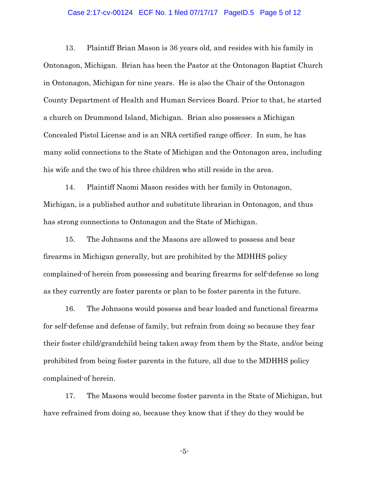## Case 2:17-cv-00124 ECF No. 1 filed 07/17/17 PageID.5 Page 5 of 12

13. Plaintiff Brian Mason is 36 years old, and resides with his family in Ontonagon, Michigan. Brian has been the Pastor at the Ontonagon Baptist Church in Ontonagon, Michigan for nine years. He is also the Chair of the Ontonagon County Department of Health and Human Services Board. Prior to that, he started a church on Drummond Island, Michigan. Brian also possesses a Michigan Concealed Pistol License and is an NRA certified range officer. In sum, he has many solid connections to the State of Michigan and the Ontonagon area, including his wife and the two of his three children who still reside in the area.

14. Plaintiff Naomi Mason resides with her family in Ontonagon, Michigan, is a published author and substitute librarian in Ontonagon, and thus has strong connections to Ontonagon and the State of Michigan.

15. The Johnsons and the Masons are allowed to possess and bear firearms in Michigan generally, but are prohibited by the MDHHS policy complained-of herein from possessing and bearing firearms for self-defense so long as they currently are foster parents or plan to be foster parents in the future.

16. The Johnsons would possess and bear loaded and functional firearms for self-defense and defense of family, but refrain from doing so because they fear their foster child/grandchild being taken away from them by the State, and/or being prohibited from being foster parents in the future, all due to the MDHHS policy complained-of herein.

17. The Masons would become foster parents in the State of Michigan, but have refrained from doing so, because they know that if they do they would be

-5-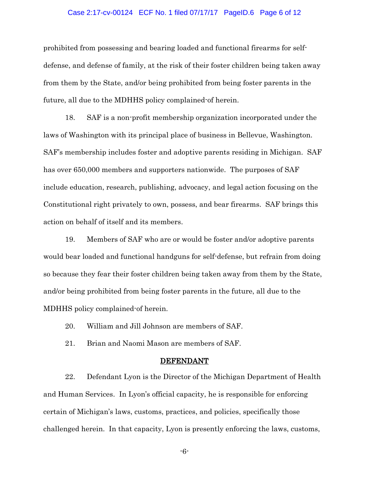### Case 2:17-cv-00124 ECF No. 1 filed 07/17/17 PageID.6 Page 6 of 12

prohibited from possessing and bearing loaded and functional firearms for selfdefense, and defense of family, at the risk of their foster children being taken away from them by the State, and/or being prohibited from being foster parents in the future, all due to the MDHHS policy complained-of herein.

18. SAF is a non-profit membership organization incorporated under the laws of Washington with its principal place of business in Bellevue, Washington. SAF's membership includes foster and adoptive parents residing in Michigan. SAF has over 650,000 members and supporters nationwide. The purposes of SAF include education, research, publishing, advocacy, and legal action focusing on the Constitutional right privately to own, possess, and bear firearms. SAF brings this action on behalf of itself and its members.

19. Members of SAF who are or would be foster and/or adoptive parents would bear loaded and functional handguns for self-defense, but refrain from doing so because they fear their foster children being taken away from them by the State, and/or being prohibited from being foster parents in the future, all due to the MDHHS policy complained-of herein.

20. William and Jill Johnson are members of SAF.

21. Brian and Naomi Mason are members of SAF.

#### DEFENDANT

22. Defendant Lyon is the Director of the Michigan Department of Health and Human Services. In Lyon's official capacity, he is responsible for enforcing certain of Michigan's laws, customs, practices, and policies, specifically those challenged herein. In that capacity, Lyon is presently enforcing the laws, customs,

-6-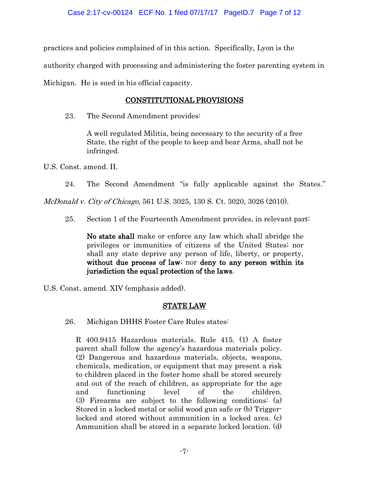practices and policies complained of in this action. Specifically, Lyon is the

authority charged with processing and administering the foster parenting system in

Michigan. He is sued in his official capacity.

# CONSTITUTIONAL PROVISIONS

23. The Second Amendment provides:

A well regulated Militia, being necessary to the security of a free State, the right of the people to keep and bear Arms, shall not be infringed.

U.S. Const. amend. II.

24. The Second Amendment "is fully applicable against the States."

McDonald v. City of Chicago, 561 U.S. 3025, 130 S. Ct. 3020, 3026 (2010).

25. Section 1 of the Fourteenth Amendment provides, in relevant part:

No state shall make or enforce any law which shall abridge the privileges or immunities of citizens of the United States; nor shall any state deprive any person of life, liberty, or property, without due process of law; nor deny to any person within its jurisdiction the equal protection of the laws.

U.S. Const. amend. XIV (emphasis added).

# STATE LAW

26. Michigan DHHS Foster Care Rules states:

R 400.9415 Hazardous materials. Rule 415. (1) A foster parent shall follow the agency's hazardous materials policy. (2) Dangerous and hazardous materials, objects, weapons, chemicals, medication, or equipment that may present a risk to children placed in the foster home shall be stored securely and out of the reach of children, as appropriate for the age and functioning level of the children. (3) Firearms are subject to the following conditions: (a) Stored in a locked metal or solid wood gun safe or (b) Triggerlocked and stored without ammunition in a locked area. (c) Ammunition shall be stored in a separate locked location. (d)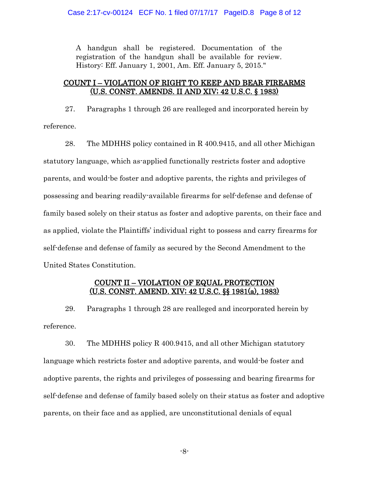A handgun shall be registered. Documentation of the registration of the handgun shall be available for review. History: Eff. January 1, 2001, Am. Eff. January 5, 2015."

## COUNT I – VIOLATION OF RIGHT TO KEEP AND BEAR FIREARMS (U.S. CONST. AMENDS. II AND XIV; 42 U.S.C. § 1983)

27. Paragraphs 1 through 26 are realleged and incorporated herein by reference.

28. The MDHHS policy contained in R 400.9415, and all other Michigan statutory language, which as-applied functionally restricts foster and adoptive parents, and would-be foster and adoptive parents, the rights and privileges of possessing and bearing readily-available firearms for self-defense and defense of family based solely on their status as foster and adoptive parents, on their face and as applied, violate the Plaintiffs' individual right to possess and carry firearms for self-defense and defense of family as secured by the Second Amendment to the United States Constitution.

## COUNT II – VIOLATION OF EQUAL PROTECTION (U.S. CONST. AMEND. XIV; 42 U.S.C. §§ 1981(a), 1983)

29. Paragraphs 1 through 28 are realleged and incorporated herein by reference.

30. The MDHHS policy R 400.9415, and all other Michigan statutory language which restricts foster and adoptive parents, and would-be foster and adoptive parents, the rights and privileges of possessing and bearing firearms for self-defense and defense of family based solely on their status as foster and adoptive parents, on their face and as applied, are unconstitutional denials of equal

-8-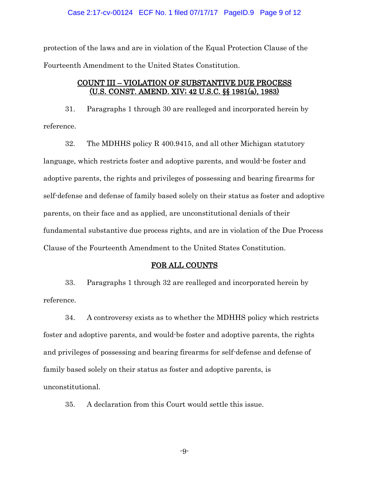### Case 2:17-cv-00124 ECF No. 1 filed 07/17/17 PageID.9 Page 9 of 12

protection of the laws and are in violation of the Equal Protection Clause of the Fourteenth Amendment to the United States Constitution.

## COUNT III – VIOLATION OF SUBSTANTIVE DUE PROCESS (U.S. CONST. AMEND. XIV; 42 U.S.C. §§ 1981(a), 1983)

31. Paragraphs 1 through 30 are realleged and incorporated herein by reference.

32. The MDHHS policy R 400.9415, and all other Michigan statutory language, which restricts foster and adoptive parents, and would-be foster and adoptive parents, the rights and privileges of possessing and bearing firearms for self-defense and defense of family based solely on their status as foster and adoptive parents, on their face and as applied, are unconstitutional denials of their fundamental substantive due process rights, and are in violation of the Due Process Clause of the Fourteenth Amendment to the United States Constitution.

### FOR ALL COUNTS

33. Paragraphs 1 through 32 are realleged and incorporated herein by reference.

34. A controversy exists as to whether the MDHHS policy which restricts foster and adoptive parents, and would-be foster and adoptive parents, the rights and privileges of possessing and bearing firearms for self-defense and defense of family based solely on their status as foster and adoptive parents, is unconstitutional.

35. A declaration from this Court would settle this issue.

-9-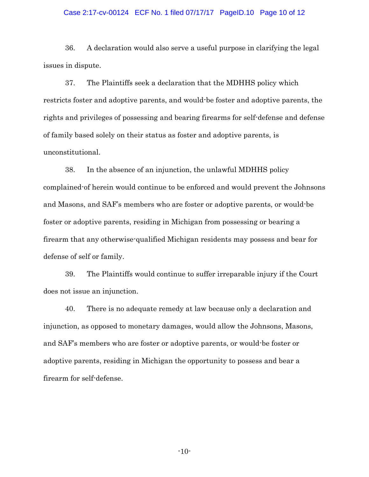#### Case 2:17-cv-00124 ECF No. 1 filed 07/17/17 PageID.10 Page 10 of 12

36. A declaration would also serve a useful purpose in clarifying the legal issues in dispute.

37. The Plaintiffs seek a declaration that the MDHHS policy which restricts foster and adoptive parents, and would-be foster and adoptive parents, the rights and privileges of possessing and bearing firearms for self-defense and defense of family based solely on their status as foster and adoptive parents, is unconstitutional.

38. In the absence of an injunction, the unlawful MDHHS policy complained-of herein would continue to be enforced and would prevent the Johnsons and Masons, and SAF's members who are foster or adoptive parents, or would-be foster or adoptive parents, residing in Michigan from possessing or bearing a firearm that any otherwise-qualified Michigan residents may possess and bear for defense of self or family.

39. The Plaintiffs would continue to suffer irreparable injury if the Court does not issue an injunction.

40. There is no adequate remedy at law because only a declaration and injunction, as opposed to monetary damages, would allow the Johnsons, Masons, and SAF's members who are foster or adoptive parents, or would-be foster or adoptive parents, residing in Michigan the opportunity to possess and bear a firearm for self-defense.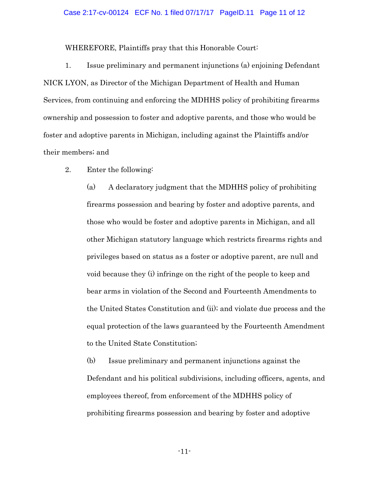### Case 2:17-cv-00124 ECF No. 1 filed 07/17/17 PageID.11 Page 11 of 12

WHEREFORE, Plaintiffs pray that this Honorable Court:

1. Issue preliminary and permanent injunctions (a) enjoining Defendant NICK LYON, as Director of the Michigan Department of Health and Human Services, from continuing and enforcing the MDHHS policy of prohibiting firearms ownership and possession to foster and adoptive parents, and those who would be foster and adoptive parents in Michigan, including against the Plaintiffs and/or their members; and

2. Enter the following:

(a) A declaratory judgment that the MDHHS policy of prohibiting firearms possession and bearing by foster and adoptive parents, and those who would be foster and adoptive parents in Michigan, and all other Michigan statutory language which restricts firearms rights and privileges based on status as a foster or adoptive parent, are null and void because they (i) infringe on the right of the people to keep and bear arms in violation of the Second and Fourteenth Amendments to the United States Constitution and (ii); and violate due process and the equal protection of the laws guaranteed by the Fourteenth Amendment to the United State Constitution;

(b) Issue preliminary and permanent injunctions against the Defendant and his political subdivisions, including officers, agents, and employees thereof, from enforcement of the MDHHS policy of prohibiting firearms possession and bearing by foster and adoptive

-11-